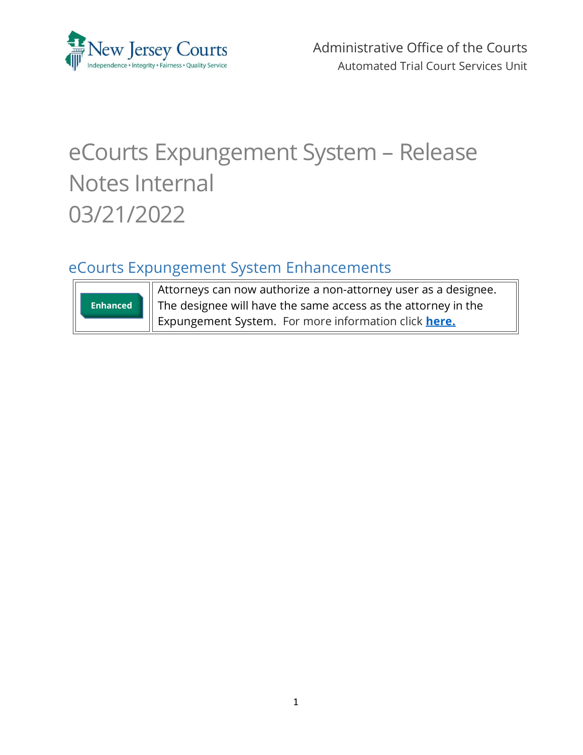

Administrative Office of the Courts Automated Trial Court Services Unit

# eCourts Expungement System – Release Notes Internal 03/21/2022

# <span id="page-0-0"></span>eCourts Expungement System Enhancements



Attorneys can now authorize a non-attorney user as a designee. The designee will have the same access as the attorney in the Expungement System. For more information click **[here.](#page-1-0)**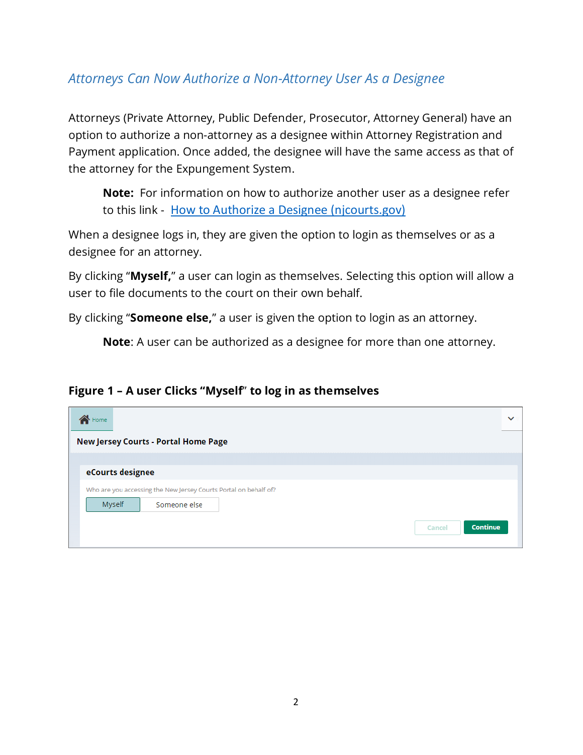### <span id="page-1-0"></span>*Attorneys Can Now Authorize a Non-Attorney User As a Designee*

Attorneys (Private Attorney, Public Defender, Prosecutor, Attorney General) have an option to authorize a non-attorney as a designee within Attorney Registration and Payment application. Once added, the designee will have the same access as that of the attorney for the Expungement System.

**Note:** For information on how to authorize another user as a designee refer to this link - [How to Authorize a Designee \(njcourts.gov\)](https://www.njcourts.gov/attorneys/assets/attyreg/DesigneeUsersQRG.pdf?c=4yQ)

When a designee logs in, they are given the option to login as themselves or as a designee for an attorney.

By clicking "**Myself,**" a user can login as themselves. Selecting this option will allow a user to file documents to the court on their own behalf.

By clicking "**Someone else,**" a user is given the option to login as an attorney.

**Note**: A user can be authorized as a designee for more than one attorney.

#### **Figure 1 – A user Clicks "Myself**" **to log in as themselves**

| Home                                                             | $\checkmark$       |  |  |  |  |  |
|------------------------------------------------------------------|--------------------|--|--|--|--|--|
| <b>New Jersey Courts - Portal Home Page</b>                      |                    |  |  |  |  |  |
| eCourts designee                                                 |                    |  |  |  |  |  |
| Who are you accessing the New Jersey Courts Portal on behalf of? |                    |  |  |  |  |  |
| Myself<br>Someone else                                           |                    |  |  |  |  |  |
|                                                                  | Continue<br>Cancel |  |  |  |  |  |
|                                                                  |                    |  |  |  |  |  |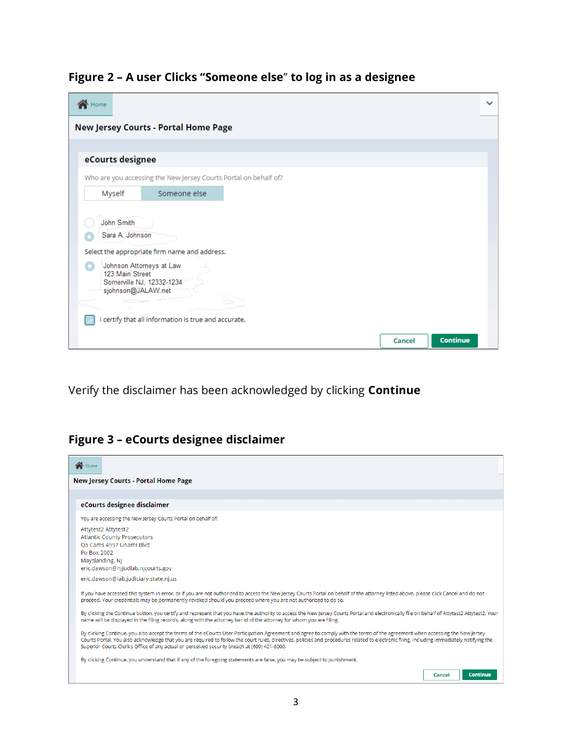| Figure 2 - A user Clicks "Someone else" to log in as a designee |  |  |  |  |
|-----------------------------------------------------------------|--|--|--|--|
|                                                                 |  |  |  |  |

| Home                                                             | $\checkmark$ |  |  |  |  |  |
|------------------------------------------------------------------|--------------|--|--|--|--|--|
| <b>New Jersey Courts - Portal Home Page</b>                      |              |  |  |  |  |  |
|                                                                  |              |  |  |  |  |  |
| eCourts designee                                                 |              |  |  |  |  |  |
| Who are you accessing the New Jersey Courts Portal on behalf of? |              |  |  |  |  |  |
| Someone else<br>Myself                                           |              |  |  |  |  |  |
|                                                                  |              |  |  |  |  |  |
| John Smith                                                       |              |  |  |  |  |  |
| Sara A. Johnson                                                  |              |  |  |  |  |  |
| Select the appropriate firm name and address.                    |              |  |  |  |  |  |
| Johnson Attorneys at Law<br>123 Main Street                      |              |  |  |  |  |  |
| Somerville NJ, 12332-1234                                        |              |  |  |  |  |  |
| sjohnson@JALAW.net                                               |              |  |  |  |  |  |
| I certify that all information is true and accurate.             |              |  |  |  |  |  |
|                                                                  |              |  |  |  |  |  |
| <b>Continue</b><br><b>Cancel</b>                                 |              |  |  |  |  |  |

Verify the disclaimer has been acknowledged by clicking **Continue**

## **Figure 3 – eCourts designee disclaimer**

| Home                                                                                                                                                                                                                                                                                                                                                                                                                                                                        |
|-----------------------------------------------------------------------------------------------------------------------------------------------------------------------------------------------------------------------------------------------------------------------------------------------------------------------------------------------------------------------------------------------------------------------------------------------------------------------------|
| <b>New Jersey Courts - Portal Home Page</b>                                                                                                                                                                                                                                                                                                                                                                                                                                 |
|                                                                                                                                                                                                                                                                                                                                                                                                                                                                             |
| eCourts designee disclaimer                                                                                                                                                                                                                                                                                                                                                                                                                                                 |
| You are accessing the New Jersey Courts Portal on behalf of:                                                                                                                                                                                                                                                                                                                                                                                                                |
| Attytest2 Attytest2                                                                                                                                                                                                                                                                                                                                                                                                                                                         |
| <b>Atlantic County Prosecutors</b>                                                                                                                                                                                                                                                                                                                                                                                                                                          |
| Qa Cams 4997 Unami Blvd<br>Po Box 2002                                                                                                                                                                                                                                                                                                                                                                                                                                      |
| Mayslanding, NJ                                                                                                                                                                                                                                                                                                                                                                                                                                                             |
| eric.dawson@nijudlab.nicourts.gov                                                                                                                                                                                                                                                                                                                                                                                                                                           |
| eric.dawson@lab.judiciary.state.nj.us                                                                                                                                                                                                                                                                                                                                                                                                                                       |
| If you have accessed this system in error, or if you are not authorized to access the New Jersey Courts Portal on behalf of the attorney listed above, please click Cancel and do not<br>proceed. Your credentials may be permanently revoked should you proceed where you are not authorized to do so.                                                                                                                                                                     |
| By clicking the Continue button, you certify and represent that you have the authority to access the New Jersey Courts Portal and electronically file on behalf of Attytest2. Attytest2. Your<br>name will be displayed in the filing records, along with the attorney bar id of the attorney for whom you are filing.                                                                                                                                                      |
| By clicking Continue, you also accept the terms of the eCourts User Participation Agreement and agree to comply with the terms of the agreement when accessing the New Jersey<br>Courts Portal. You also acknowledge that you are required to follow the court rules, directives, policies and procedures related to electronic filing, including immediately notifying the<br>Superior Courts Clerk's Office of any actual or perceived security breach at (609) 421-6000. |
| By clicking Continue, you understand that if any of the foregoing statements are false, you may be subject to punishment.                                                                                                                                                                                                                                                                                                                                                   |
| <b>Continue</b><br>Cancel                                                                                                                                                                                                                                                                                                                                                                                                                                                   |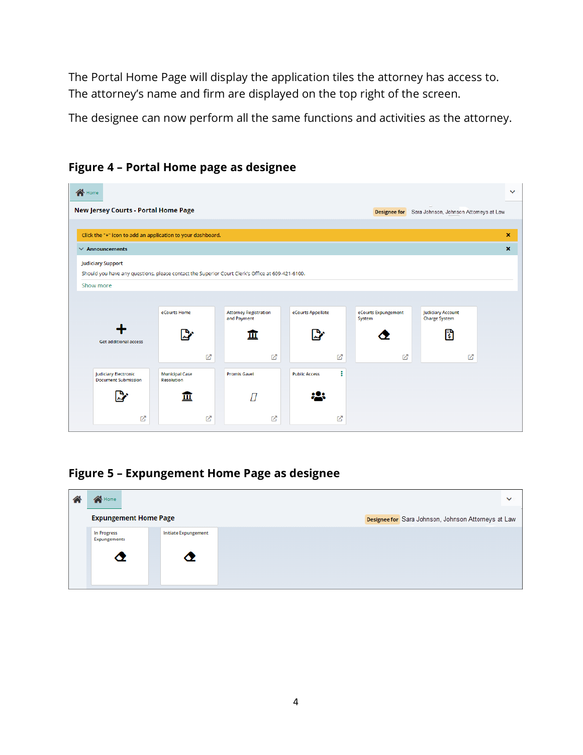The Portal Home Page will display the application tiles the attorney has access to. The attorney's name and firm are displayed on the top right of the screen.

The designee can now perform all the same functions and activities as the attorney.





**Figure 5 – Expungement Home Page as designee**